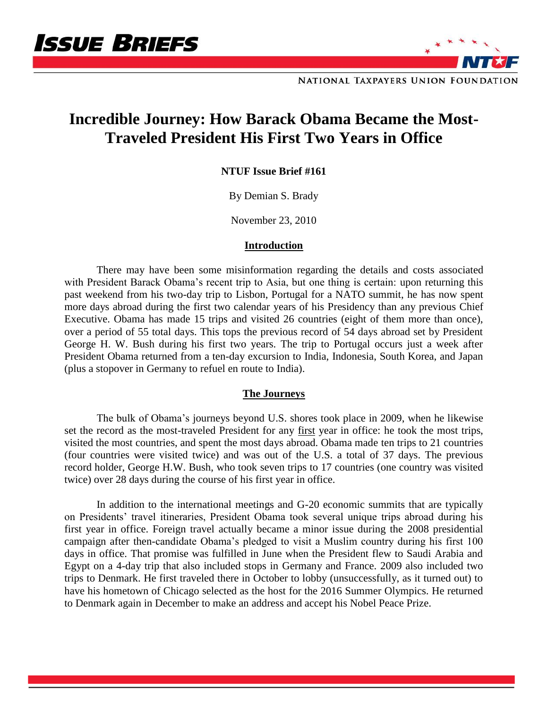



NATIONAL TAXPAYERS UNION FOUNDATION

# **Incredible Journey: How Barack Obama Became the Most-Traveled President His First Two Years in Office**

**NTUF Issue Brief #161**

By Demian S. Brady

November 23, 2010

## **Introduction**

There may have been some misinformation regarding the details and costs associated with President Barack Obama's recent trip to Asia, but one thing is certain: upon returning this past weekend from his two-day trip to Lisbon, Portugal for a NATO summit, he has now spent more days abroad during the first two calendar years of his Presidency than any previous Chief Executive. Obama has made 15 trips and visited 26 countries (eight of them more than once), over a period of 55 total days. This tops the previous record of 54 days abroad set by President George H. W. Bush during his first two years. The trip to Portugal occurs just a week after President Obama returned from a ten-day excursion to India, Indonesia, South Korea, and Japan (plus a stopover in Germany to refuel en route to India).

## **The Journeys**

The bulk of Obama's journeys beyond U.S. shores took place in 2009, when he likewise set the record as the most-traveled President for any first year in office: he took the most trips, visited the most countries, and spent the most days abroad. Obama made ten trips to 21 countries (four countries were visited twice) and was out of the U.S. a total of 37 days. The previous record holder, George H.W. Bush, who took seven trips to 17 countries (one country was visited twice) over 28 days during the course of his first year in office.

In addition to the international meetings and G-20 economic summits that are typically on Presidents' travel itineraries, President Obama took several unique trips abroad during his first year in office. Foreign travel actually became a minor issue during the 2008 presidential campaign after then-candidate Obama's pledged to visit a Muslim country during his first 100 days in office. That promise was fulfilled in June when the President flew to Saudi Arabia and Egypt on a 4-day trip that also included stops in Germany and France. 2009 also included two trips to Denmark. He first traveled there in October to lobby (unsuccessfully, as it turned out) to have his hometown of Chicago selected as the host for the 2016 Summer Olympics. He returned to Denmark again in December to make an address and accept his Nobel Peace Prize.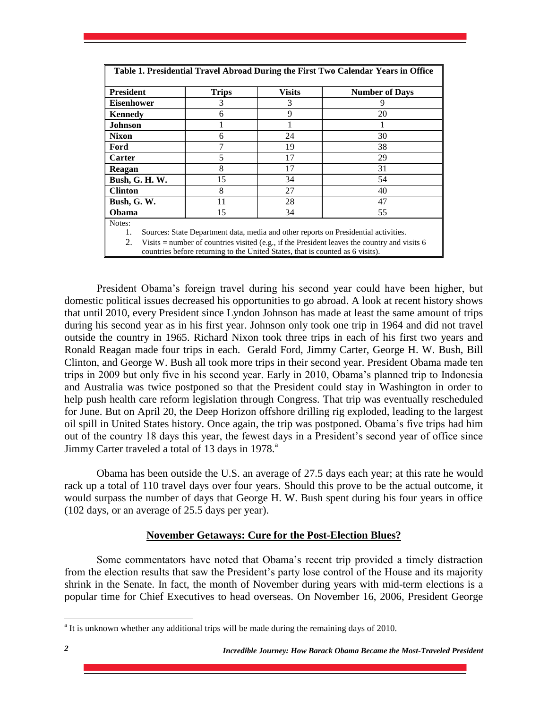| Table 1. Presidential Travel Abroad During the First Two Calendar Years in Office         |              |               |                       |  |  |
|-------------------------------------------------------------------------------------------|--------------|---------------|-----------------------|--|--|
| <b>President</b>                                                                          | <b>Trips</b> | <b>Visits</b> | <b>Number of Days</b> |  |  |
| <b>Eisenhower</b>                                                                         | 3            | 3             |                       |  |  |
| Kennedy                                                                                   | 6            | 9             | 20                    |  |  |
| <b>Johnson</b>                                                                            |              |               |                       |  |  |
| <b>Nixon</b>                                                                              | 6            | 24            | 30                    |  |  |
| Ford                                                                                      |              | 19            | 38                    |  |  |
| <b>Carter</b>                                                                             | 5            | 17            | 29                    |  |  |
| Reagan                                                                                    | 8            | 17            | 31                    |  |  |
| <b>Bush, G. H. W.</b>                                                                     | 15           | 34            | 54                    |  |  |
| <b>Clinton</b>                                                                            | 8            | 27            | 40                    |  |  |
| Bush, G. W.                                                                               | 11           | 28            | 47                    |  |  |
| Obama                                                                                     | 15           | 34            | 55                    |  |  |
| Notes:                                                                                    |              |               |                       |  |  |
| Sources: State Department data, media and other reports on Presidential activities.<br>1. |              |               |                       |  |  |

2. Visits  $=$  number of countries visited (e.g., if the President leaves the country and visits 6

countries before returning to the United States, that is counted as 6 visits).

President Obama's foreign travel during his second year could have been higher, but domestic political issues decreased his opportunities to go abroad. A look at recent history shows that until 2010, every President since Lyndon Johnson has made at least the same amount of trips during his second year as in his first year. Johnson only took one trip in 1964 and did not travel outside the country in 1965. Richard Nixon took three trips in each of his first two years and Ronald Reagan made four trips in each. Gerald Ford, Jimmy Carter, George H. W. Bush, Bill Clinton, and George W. Bush all took more trips in their second year. President Obama made ten trips in 2009 but only five in his second year. Early in 2010, Obama's planned trip to Indonesia and Australia was twice postponed so that the President could stay in Washington in order to help push health care reform legislation through Congress. That trip was eventually rescheduled for June. But on April 20, the Deep Horizon offshore drilling rig exploded, leading to the largest oil spill in United States history. Once again, the trip was postponed. Obama's five trips had him out of the country 18 days this year, the fewest days in a President's second year of office since Jimmy Carter traveled a total of 13 days in 1978.<sup>a</sup>

Obama has been outside the U.S. an average of 27.5 days each year; at this rate he would rack up a total of 110 travel days over four years. Should this prove to be the actual outcome, it would surpass the number of days that George H. W. Bush spent during his four years in office (102 days, or an average of 25.5 days per year).

## **November Getaways: Cure for the Post-Election Blues?**

Some commentators have noted that Obama's recent trip provided a timely distraction from the election results that saw the President's party lose control of the House and its majority shrink in the Senate. In fact, the month of November during years with mid-term elections is a popular time for Chief Executives to head overseas. On November 16, 2006, President George

<sup>&</sup>lt;sup>a</sup> It is unknown whether any additional trips will be made during the remaining days of 2010.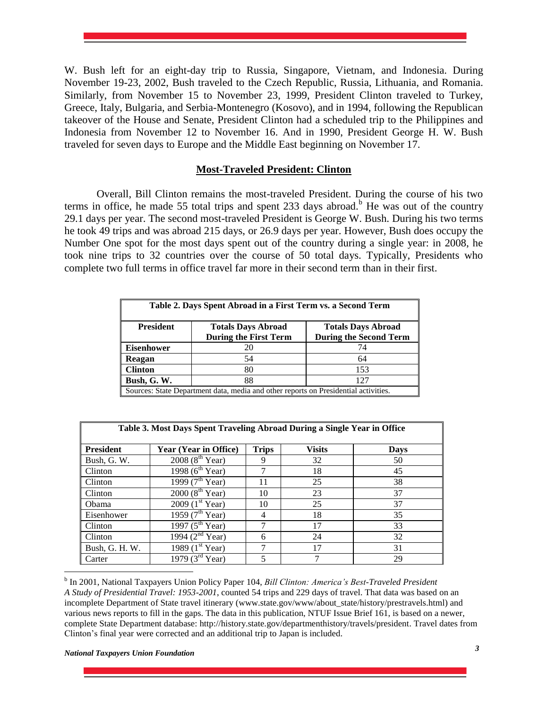W. Bush left for an eight-day trip to Russia, Singapore, Vietnam, and Indonesia. During November 19-23, 2002, Bush traveled to the Czech Republic, Russia, Lithuania, and Romania. Similarly, from November 15 to November 23, 1999, President Clinton traveled to Turkey, Greece, Italy, Bulgaria, and Serbia-Montenegro (Kosovo), and in 1994, following the Republican takeover of the House and Senate, President Clinton had a scheduled trip to the Philippines and Indonesia from November 12 to November 16. And in 1990, President George H. W. Bush traveled for seven days to Europe and the Middle East beginning on November 17.

## **Most-Traveled President: Clinton**

Overall, Bill Clinton remains the most-traveled President. During the course of his two terms in office, he made 55 total trips and spent 233 days abroad.<sup>b</sup> He was out of the country 29.1 days per year. The second most-traveled President is George W. Bush. During his two terms he took 49 trips and was abroad 215 days, or 26.9 days per year. However, Bush does occupy the Number One spot for the most days spent out of the country during a single year: in 2008, he took nine trips to 32 countries over the course of 50 total days. Typically, Presidents who complete two full terms in office travel far more in their second term than in their first.

| Table 2. Days Spent Abroad in a First Term vs. a Second Term                        |                                                           |                                                            |  |  |
|-------------------------------------------------------------------------------------|-----------------------------------------------------------|------------------------------------------------------------|--|--|
| <b>President</b>                                                                    | <b>Totals Days Abroad</b><br><b>During the First Term</b> | <b>Totals Days Abroad</b><br><b>During the Second Term</b> |  |  |
| <b>Eisenhower</b>                                                                   | 20                                                        | 74                                                         |  |  |
| Reagan                                                                              | 54                                                        | 64                                                         |  |  |
| <b>Clinton</b>                                                                      | 80                                                        | 153                                                        |  |  |
| Bush, G. W.                                                                         | 88                                                        | 127                                                        |  |  |
| Sources: State Department data, media and other reports on Presidential activities. |                                                           |                                                            |  |  |

| Table 3. Most Days Spent Traveling Abroad During a Single Year in Office |                              |              |               |             |  |
|--------------------------------------------------------------------------|------------------------------|--------------|---------------|-------------|--|
| <b>President</b>                                                         | <b>Year (Year in Office)</b> | <b>Trips</b> | <b>Visits</b> | <b>Days</b> |  |
| Bush, G. W.                                                              | 2008 ( $8^{th}$ Year)        | 9            | 32            | 50          |  |
| Clinton                                                                  | 1998 ( $6^{th}$ Year)        |              | 18            | 45          |  |
| Clinton                                                                  | 1999 $(7^{th}$ Year)         | 11           | 25            | 38          |  |
| Clinton                                                                  | 2000 (8 <sup>th</sup> Year)  | 10           | 23            | 37          |  |
| Obama                                                                    | 2009 (1 <sup>st</sup> Year)  | 10           | 25            | 37          |  |
| Eisenhower                                                               | 1959 $(7^{\text{th}}$ Year)  | 4            | 18            | 35          |  |
| Clinton                                                                  | 1997 $(5^{th}$ Year)         | 7            | 17            | 33          |  |
| Clinton                                                                  | 1994 $(2^{nd}$ Year)         | 6            | 24            | 32          |  |
| Bush, G. H. W.                                                           | 1989 $(1st Year)$            | 7            | 17            | 31          |  |
| Carter                                                                   | 1979 $(3^{rd}$<br>Year)      | 5            | ┑             | 29          |  |

b In 2001, National Taxpayers Union Policy Paper 104, *Bill Clinton: America's Best-Traveled President A Study of Presidential Travel: 1953-2001*, counted 54 trips and 229 days of travel. That data was based on an incomplete Department of State travel itinerary (www.state.gov/www/about\_state/history/prestravels.html) and various news reports to fill in the gaps. The data in this publication, NTUF Issue Brief 161, is based on a newer, complete State Department database: http://history.state.gov/departmenthistory/travels/president. Travel dates from Clinton's final year were corrected and an additional trip to Japan is included.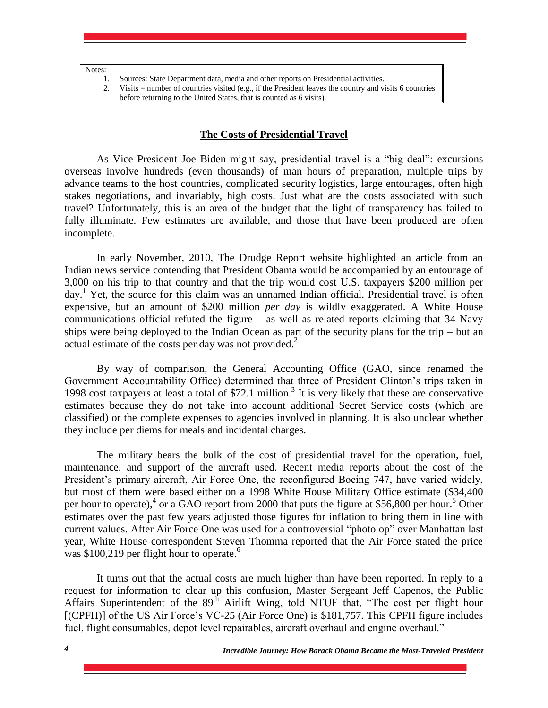| ۱T |
|----|
|----|

| Sources: State Department data, media and other reports on Presidential activities.                      |
|----------------------------------------------------------------------------------------------------------|
| Visits $=$ number of countries visited (e.g., if the President leaves the country and visits 6 countries |
| before returning to the United States, that is counted as 6 visits).                                     |

#### **The Costs of Presidential Travel**

As Vice President Joe Biden might say, presidential travel is a "big deal": excursions overseas involve hundreds (even thousands) of man hours of preparation, multiple trips by advance teams to the host countries, complicated security logistics, large entourages, often high stakes negotiations, and invariably, high costs. Just what are the costs associated with such travel? Unfortunately, this is an area of the budget that the light of transparency has failed to fully illuminate. Few estimates are available, and those that have been produced are often incomplete.

In early November, 2010, The Drudge Report website highlighted an article from an Indian news service contending that President Obama would be accompanied by an entourage of 3,000 on his trip to that country and that the trip would cost U.S. taxpayers \$200 million per day.<sup>1</sup> Yet, the source for this claim was an unnamed Indian official. Presidential travel is often expensive, but an amount of \$200 million *per day* is wildly exaggerated. A White House communications official refuted the figure – as well as related reports claiming that 34 Navy ships were being deployed to the Indian Ocean as part of the security plans for the trip – but an actual estimate of the costs per day was not provided. $2^2$ 

By way of comparison, the General Accounting Office (GAO, since renamed the Government Accountability Office) determined that three of President Clinton's trips taken in 1998 cost taxpayers at least a total of \$72.1 million.<sup>3</sup> It is very likely that these are conservative estimates because they do not take into account additional Secret Service costs (which are classified) or the complete expenses to agencies involved in planning. It is also unclear whether they include per diems for meals and incidental charges.

The military bears the bulk of the cost of presidential travel for the operation, fuel, maintenance, and support of the aircraft used. Recent media reports about the cost of the President's primary aircraft, Air Force One, the reconfigured Boeing 747, have varied widely, but most of them were based either on a 1998 White House Military Office estimate (\$34,400 per hour to operate),<sup>4</sup> or a GAO report from 2000 that puts the figure at \$56,800 per hour.<sup>5</sup> Other estimates over the past few years adjusted those figures for inflation to bring them in line with current values. After Air Force One was used for a controversial "photo op" over Manhattan last year, White House correspondent Steven Thomma reported that the Air Force stated the price was  $$100,219$  per flight hour to operate.<sup>6</sup>

It turns out that the actual costs are much higher than have been reported. In reply to a request for information to clear up this confusion, Master Sergeant Jeff Capenos, the Public Affairs Superintendent of the 89<sup>th</sup> Airlift Wing, told NTUF that, "The cost per flight hour [(CPFH)] of the US Air Force's VC-25 (Air Force One) is \$181,757. This CPFH figure includes fuel, flight consumables, depot level repairables, aircraft overhaul and engine overhaul."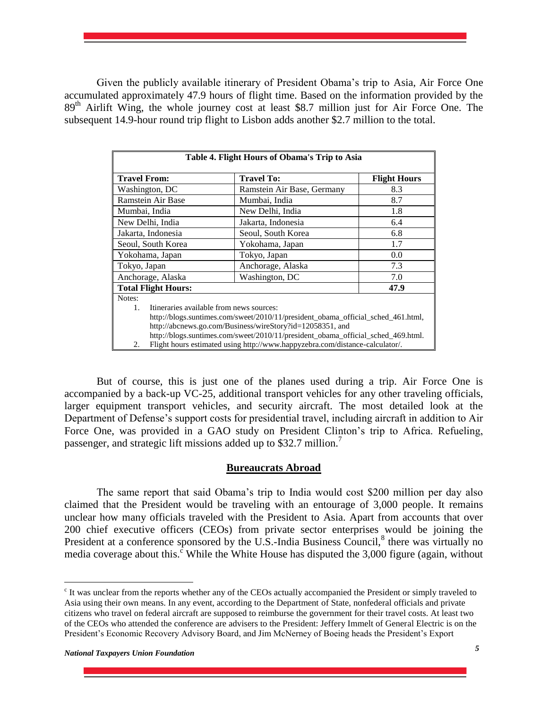Given the publicly available itinerary of President Obama's trip to Asia, Air Force One accumulated approximately 47.9 hours of flight time. Based on the information provided by the 89<sup>th</sup> Airlift Wing, the whole journey cost at least \$8.7 million just for Air Force One. The subsequent 14.9-hour round trip flight to Lisbon adds another \$2.7 million to the total.

| Table 4. Flight Hours of Obama's Trip to Asia                                    |                                                                              |                     |  |  |
|----------------------------------------------------------------------------------|------------------------------------------------------------------------------|---------------------|--|--|
| <b>Travel From:</b>                                                              | <b>Travel To:</b>                                                            | <b>Flight Hours</b> |  |  |
| Washington, DC                                                                   | Ramstein Air Base, Germany                                                   | 8.3                 |  |  |
| <b>Ramstein Air Base</b>                                                         | Mumbai, India                                                                | 8.7                 |  |  |
| Mumbai, India                                                                    | New Delhi, India                                                             | 1.8                 |  |  |
| New Delhi, India                                                                 | Jakarta, Indonesia                                                           | 6.4                 |  |  |
| Jakarta, Indonesia                                                               | Seoul, South Korea                                                           | 6.8                 |  |  |
| Seoul, South Korea                                                               | Yokohama, Japan                                                              | 1.7                 |  |  |
| Yokohama, Japan                                                                  | Tokyo, Japan                                                                 | 0.0                 |  |  |
| Tokyo, Japan                                                                     | Anchorage, Alaska                                                            | 7.3                 |  |  |
| Anchorage, Alaska                                                                | Washington, DC                                                               | 7.0                 |  |  |
| 47.9<br><b>Total Flight Hours:</b>                                               |                                                                              |                     |  |  |
| Notes:                                                                           |                                                                              |                     |  |  |
| Itineraries available from news sources:<br>1.                                   |                                                                              |                     |  |  |
| http://blogs.suntimes.com/sweet/2010/11/president obama official sched 461.html, |                                                                              |                     |  |  |
| http://abcnews.go.com/Business/wireStory?id=12058351, and                        |                                                                              |                     |  |  |
| http://blogs.suntimes.com/sweet/2010/11/president_obama_official_sched_469.html. |                                                                              |                     |  |  |
| 2.                                                                               | Flight hours estimated using http://www.happyzebra.com/distance-calculator/. |                     |  |  |

But of course, this is just one of the planes used during a trip. Air Force One is accompanied by a back-up VC-25, additional transport vehicles for any other traveling officials, larger equipment transport vehicles, and security aircraft. The most detailed look at the Department of Defense's support costs for presidential travel, including aircraft in addition to Air Force One, was provided in a GAO study on President Clinton's trip to Africa. Refueling, passenger, and strategic lift missions added up to \$32.7 million.<sup>7</sup>

#### **Bureaucrats Abroad**

The same report that said Obama's trip to India would cost \$200 million per day also claimed that the President would be traveling with an entourage of 3,000 people. It remains unclear how many officials traveled with the President to Asia. Apart from accounts that over 200 chief executive officers (CEOs) from private sector enterprises would be joining the President at a conference sponsored by the U.S.-India Business Council,<sup>8</sup> there was virtually no media coverage about this.<sup>c</sup> While the White House has disputed the 3,000 figure (again, without

<sup>&</sup>lt;sup>c</sup> It was unclear from the reports whether any of the CEOs actually accompanied the President or simply traveled to Asia using their own means. In any event, according to the Department of State, nonfederal officials and private citizens who travel on federal aircraft are supposed to reimburse the government for their travel costs. At least two of the CEOs who attended the conference are advisers to the President: Jeffery Immelt of General Electric is on the President's Economic Recovery Advisory Board, and Jim McNerney of Boeing heads the President's Export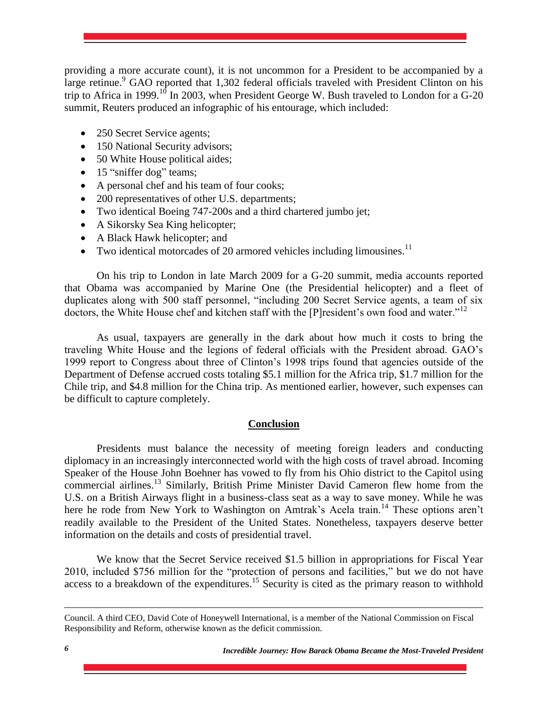providing a more accurate count), it is not uncommon for a President to be accompanied by a large retinue.<sup>9</sup> GAO reported that 1,302 federal officials traveled with President Clinton on his trip to Africa in 1999.<sup>10</sup> In 2003, when President George W. Bush traveled to London for a G-20 summit, Reuters produced an infographic of his entourage, which included:

- 250 Secret Service agents;
- 150 National Security advisors;
- 50 White House political aides;
- 15 "sniffer dog" teams;
- A personal chef and his team of four cooks;
- 200 representatives of other U.S. departments;
- Two identical Boeing 747-200s and a third chartered jumbo jet;
- A Sikorsky Sea King helicopter;
- A Black Hawk helicopter; and
- Two identical motorcades of 20 armored vehicles including limousines.<sup>11</sup>

On his trip to London in late March 2009 for a G-20 summit, media accounts reported that Obama was accompanied by Marine One (the Presidential helicopter) and a fleet of duplicates along with 500 staff personnel, "including 200 Secret Service agents, a team of six doctors, the White House chef and kitchen staff with the [P]resident's own food and water."<sup>12</sup>

As usual, taxpayers are generally in the dark about how much it costs to bring the traveling White House and the legions of federal officials with the President abroad. GAO's 1999 report to Congress about three of Clinton's 1998 trips found that agencies outside of the Department of Defense accrued costs totaling \$5.1 million for the Africa trip, \$1.7 million for the Chile trip, and \$4.8 million for the China trip. As mentioned earlier, however, such expenses can be difficult to capture completely.

#### **Conclusion**

Presidents must balance the necessity of meeting foreign leaders and conducting diplomacy in an increasingly interconnected world with the high costs of travel abroad. Incoming Speaker of the House John Boehner has vowed to fly from his Ohio district to the Capitol using commercial airlines.<sup>13</sup> Similarly, British Prime Minister David Cameron flew home from the U.S. on a British Airways flight in a business-class seat as a way to save money. While he was here he rode from New York to Washington on Amtrak's Acela train.<sup>14</sup> These options aren't readily available to the President of the United States. Nonetheless, taxpayers deserve better information on the details and costs of presidential travel.

We know that the Secret Service received \$1.5 billion in appropriations for Fiscal Year 2010, included \$756 million for the "protection of persons and facilities," but we do not have access to a breakdown of the expenditures.<sup>15</sup> Security is cited as the primary reason to withhold

Council. A third CEO, David Cote of Honeywell International, is a member of the National Commission on Fiscal Responsibility and Reform, otherwise known as the deficit commission.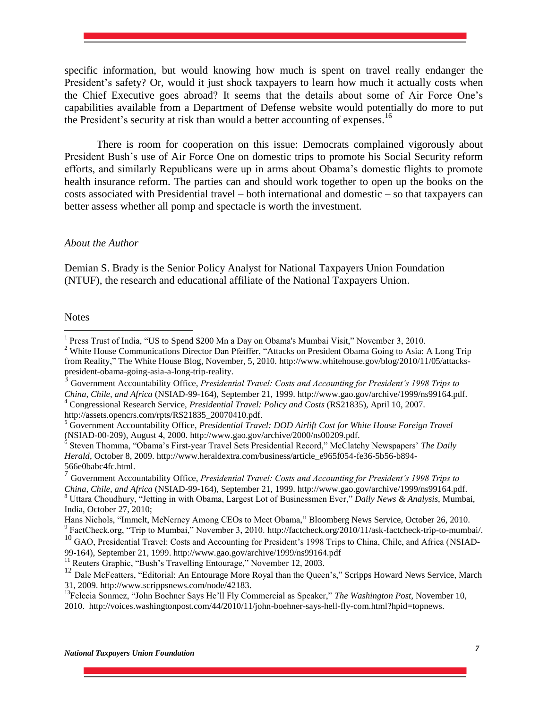specific information, but would knowing how much is spent on travel really endanger the President's safety? Or, would it just shock taxpayers to learn how much it actually costs when the Chief Executive goes abroad? It seems that the details about some of Air Force One's capabilities available from a Department of Defense website would potentially do more to put the President's security at risk than would a better accounting of expenses.<sup>16</sup>

There is room for cooperation on this issue: Democrats complained vigorously about President Bush's use of Air Force One on domestic trips to promote his Social Security reform efforts, and similarly Republicans were up in arms about Obama's domestic flights to promote health insurance reform. The parties can and should work together to open up the books on the costs associated with Presidential travel – both international and domestic – so that taxpayers can better assess whether all pomp and spectacle is worth the investment.

#### *About the Author*

Demian S. Brady is the Senior Policy Analyst for National Taxpayers Union Foundation (NTUF), the research and educational affiliate of the National Taxpayers Union.

**Notes** 

http://assets.opencrs.com/rpts/RS21835\_20070410.pdf.

99-164), September 21, 1999. http://www.gao.gov/archive/1999/ns99164.pdf

 $11<sup>11</sup>$  Reuters Graphic, "Bush's Travelling Entourage," November 12, 2003.

 1 Press Trust of India, "US to Spend \$200 Mn a Day on Obama's Mumbai Visit," November 3, 2010.

<sup>&</sup>lt;sup>2</sup> White House Communications Director Dan Pfeiffer, "Attacks on President Obama Going to Asia: A Long Trip from Reality," The White House Blog, November, 5, 2010. http://www.whitehouse.gov/blog/2010/11/05/attackspresident-obama-going-asia-a-long-trip-reality.<br>3 Communes Accountability Office Bussident

Government Accountability Office, *Presidential Travel: Costs and Accounting for President's 1998 Trips to China, Chile, and Africa* (NSIAD-99-164), September 21, 1999. http://www.gao.gov/archive/1999/ns99164.pdf.

<sup>4</sup> Congressional Research Service, *Presidential Travel: Policy and Costs* (RS21835), April 10, 2007.

<sup>5</sup> Government Accountability Office, *Presidential Travel: DOD Airlift Cost for White House Foreign Travel* (NSIAD-00-209), August 4, 2000. http://www.gao.gov/archive/2000/ns00209.pdf.

<sup>6</sup> Steven Thomma, "Obama's First-year Travel Sets Presidential Record," McClatchy Newspapers' *The Daily Herald*, October 8, 2009. http://www.heraldextra.com/business/article\_e965f054-fe36-5b56-b894-

<sup>566</sup>e0babc4fc.html. 7 Government Accountability Office, *Presidential Travel: Costs and Accounting for President's 1998 Trips to China, Chile, and Africa* (NSIAD-99-164), September 21, 1999. http://www.gao.gov/archive/1999/ns99164.pdf. <sup>8</sup> Uttara Choudhury, "Jetting in with Obama, Largest Lot of Businessmen Ever," *Daily News & Analysis*, Mumbai, India, October 27, 2010;

Hans Nichols, "Immelt, McNerney Among CEOs to Meet Obama," Bloomberg News Service, October 26, 2010. <sup>9</sup> FactCheck.org, "Trip to Mumbai," November 3, 2010. http://factcheck.org/2010/11/ask-factcheck-trip-to-mumbai/.

<sup>10</sup> GAO, Presidential Travel: Costs and Accounting for President's 1998 Trips to China, Chile, and Africa (NSIAD-

<sup>&</sup>lt;sup>12</sup> Dale McFeatters, "Editorial: An Entourage More Royal than the Queen's," Scripps Howard News Service, March 31, 2009. http://www.scrippsnews.com/node/42183.

<sup>13</sup>Felecia Sonmez, "John Boehner Says He'll Fly Commercial as Speaker," *The Washington Post*, November 10, 2010. http://voices.washingtonpost.com/44/2010/11/john-boehner-says-hell-fly-com.html?hpid=topnews.